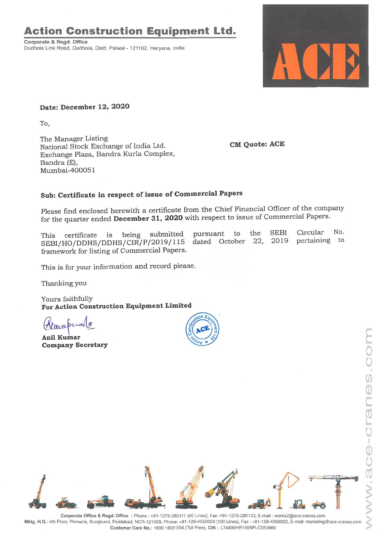## **Action Construction Equipment Ltd.**

Corporate & Regd. Office Dudhola Link Road, Dudhola, Distt. Palwal - 121102, Haryana, India



**Date: December 12, 2020**

To,

The Manager Listing National Stock Exchange of India Ltd. Exchange Plaza, Sandra Kurla Complex, Bandra (E), Mumbai-400051

**CM Quote: ACE**

## **Sub: Certificate in respect of issue of Commercial Papers**

Please find enclosed herewith a certificate from the Chief Financial Officer of the company for the quarter ended **December 31, 2020** with respect to issue of Commercial Papers.

the SEBI Circular No, pertaining to pursuant to dated October 22, 2019 This certificate is being submitted SEBI/HO/DDHS/DDHS/CIR/P/2019/115 framework for listing of Commercial Papers.

This is for your information and record please.

Thanking you

Yours faithfully **For Action Construction Equipment Limited**

weepe

<sup>~</sup>**Ani! Kumar Company Secretary**





. Corporate Office & Regd. Office: Phone: +91-1275-280111 (50 Lines), Fax:+91-1275-280133, E-mail: works2@ace-cranes.com Mktg. H.Q.. 4th Floor, Pinnacle, Surajkund, Fandabad, NCR-121009, Phone:+91-129-4550000 (100 Lines), Fax: +91-129-4550022, E-mail: marketing@ace-cranes.com Customer Care No.: 1800 1800 004 (Toll Free), CIN: L74899HR1995PLC053860